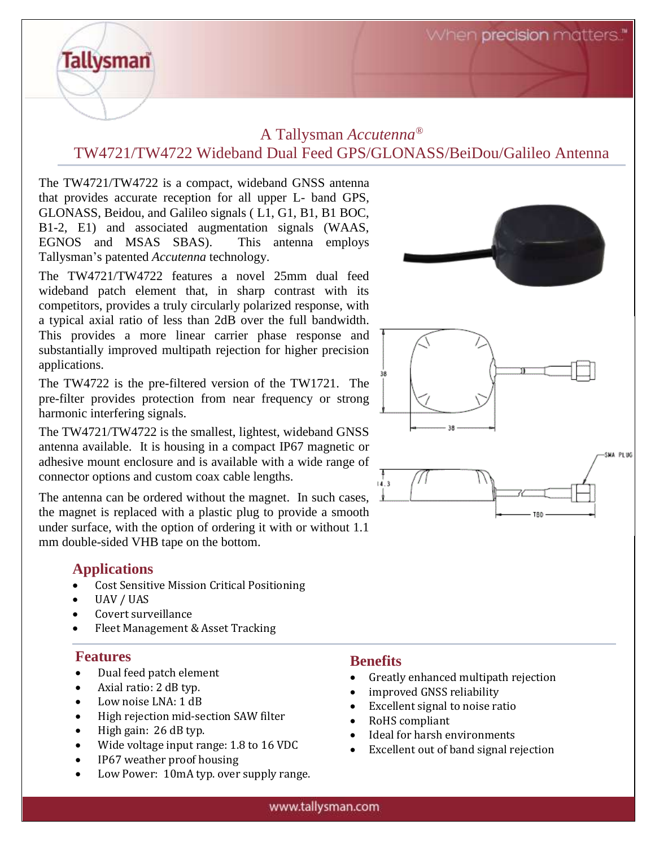When precision matters.

## A Tallysman *Accutenna®* TW4721/TW4722 Wideband Dual Feed GPS/GLONASS/BeiDou/Galileo Antenna

The TW4721/TW4722 is a compact, wideband GNSS antenna that provides accurate reception for all upper L- band GPS, GLONASS, Beidou, and Galileo signals ( L1, G1, B1, B1 BOC, B1-2, E1) and associated augmentation signals (WAAS, EGNOS and MSAS SBAS). This antenna employs Tallysman's patented *Accutenna* technology.

The TW4721/TW4722 features a novel 25mm dual feed wideband patch element that, in sharp contrast with its competitors, provides a truly circularly polarized response, with a typical axial ratio of less than 2dB over the full bandwidth. This provides a more linear carrier phase response and substantially improved multipath rejection for higher precision applications.

The TW4722 is the pre-filtered version of the TW1721. The pre-filter provides protection from near frequency or strong harmonic interfering signals.

The TW4721/TW4722 is the smallest, lightest, wideband GNSS antenna available. It is housing in a compact IP67 magnetic or adhesive mount enclosure and is available with a wide range of connector options and custom coax cable lengths.

The antenna can be ordered without the magnet. In such cases, the magnet is replaced with a plastic plug to provide a smooth under surface, with the option of ordering it with or without 1.1 mm double-sided VHB tape on the bottom.

### **Applications**

**Tallysman** 

- Cost Sensitive Mission Critical Positioning
- UAV / UAS
- Covert surveillance
- Fleet Management & Asset Tracking

#### **Features**

- Dual feed patch element
- Axial ratio: 2 dB typ.
- Low noise LNA: 1 dB
- High rejection mid-section SAW filter
- High gain: 26 dB typ.
- Wide voltage input range: 1.8 to 16 VDC
- IP67 weather proof housing
- Low Power: 10mA typ. over supply range.

### **Benefits**

- Greatly enhanced multipath rejection
- improved GNSS reliability
- Excellent signal to noise ratio
- RoHS compliant
- Ideal for harsh environments
- Excellent out of band signal rejection